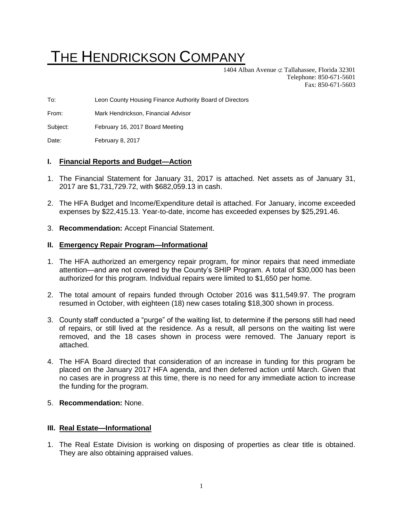# THE HENDRICKSON COMPANY

1404 Alban Avenue  $\sigma$  Tallahassee, Florida 32301 Telephone: 850-671-5601 Fax: 850-671-5603

To: Leon County Housing Finance Authority Board of Directors

From: Mark Hendrickson, Financial Advisor

Subject: February 16, 2017 Board Meeting

Date: February 8, 2017

### **I. Financial Reports and Budget—Action**

- 1. The Financial Statement for January 31, 2017 is attached. Net assets as of January 31, 2017 are \$1,731,729.72, with \$682,059.13 in cash.
- 2. The HFA Budget and Income/Expenditure detail is attached. For January, income exceeded expenses by \$22,415.13. Year-to-date, income has exceeded expenses by \$25,291.46.
- 3. **Recommendation:** Accept Financial Statement.

#### **II. Emergency Repair Program—Informational**

- 1. The HFA authorized an emergency repair program, for minor repairs that need immediate attention—and are not covered by the County's SHIP Program. A total of \$30,000 has been authorized for this program. Individual repairs were limited to \$1,650 per home.
- 2. The total amount of repairs funded through October 2016 was \$11,549.97. The program resumed in October, with eighteen (18) new cases totaling \$18,300 shown in process.
- 3. County staff conducted a "purge" of the waiting list, to determine if the persons still had need of repairs, or still lived at the residence. As a result, all persons on the waiting list were removed, and the 18 cases shown in process were removed. The January report is attached.
- 4. The HFA Board directed that consideration of an increase in funding for this program be placed on the January 2017 HFA agenda, and then deferred action until March. Given that no cases are in progress at this time, there is no need for any immediate action to increase the funding for the program.
- 5. **Recommendation:** None.

#### **III. Real Estate—Informational**

1. The Real Estate Division is working on disposing of properties as clear title is obtained. They are also obtaining appraised values.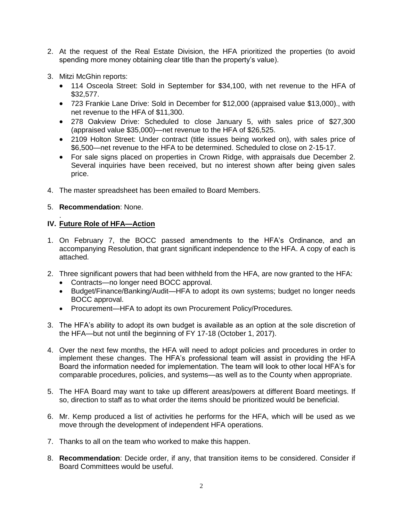- 2. At the request of the Real Estate Division, the HFA prioritized the properties (to avoid spending more money obtaining clear title than the property's value).
- 3. Mitzi McGhin reports:
	- 114 Osceola Street: Sold in September for \$34,100, with net revenue to the HFA of \$32,577.
	- 723 Frankie Lane Drive: Sold in December for \$12,000 (appraised value \$13,000)., with net revenue to the HFA of \$11,300.
	- 278 Oakview Drive: Scheduled to close January 5, with sales price of \$27,300 (appraised value \$35,000)—net revenue to the HFA of \$26,525.
	- 2109 Holton Street: Under contract (title issues being worked on), with sales price of \$6,500—net revenue to the HFA to be determined. Scheduled to close on 2-15-17.
	- For sale signs placed on properties in Crown Ridge, with appraisals due December 2. Several inquiries have been received, but no interest shown after being given sales price.
- 4. The master spreadsheet has been emailed to Board Members.

## 5. **Recommendation**: None.

#### . **IV. Future Role of HFA—Action**

- 1. On February 7, the BOCC passed amendments to the HFA's Ordinance, and an accompanying Resolution, that grant significant independence to the HFA. A copy of each is attached.
- 2. Three significant powers that had been withheld from the HFA, are now granted to the HFA:
	- Contracts—no longer need BOCC approval.
	- Budget/Finance/Banking/Audit—HFA to adopt its own systems; budget no longer needs BOCC approval.
	- Procurement—HFA to adopt its own Procurement Policy/Procedures.
- 3. The HFA's ability to adopt its own budget is available as an option at the sole discretion of the HFA—but not until the beginning of FY 17-18 (October 1, 2017).
- 4. Over the next few months, the HFA will need to adopt policies and procedures in order to implement these changes. The HFA's professional team will assist in providing the HFA Board the information needed for implementation. The team will look to other local HFA's for comparable procedures, policies, and systems—as well as to the County when appropriate.
- 5. The HFA Board may want to take up different areas/powers at different Board meetings. If so, direction to staff as to what order the items should be prioritized would be beneficial.
- 6. Mr. Kemp produced a list of activities he performs for the HFA, which will be used as we move through the development of independent HFA operations.
- 7. Thanks to all on the team who worked to make this happen.
- 8. **Recommendation**: Decide order, if any, that transition items to be considered. Consider if Board Committees would be useful.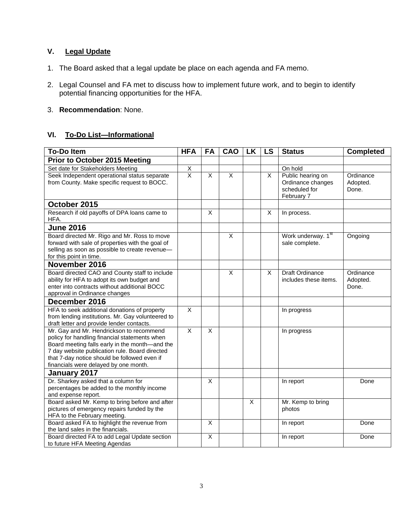## **V. Legal Update**

- 1. The Board asked that a legal update be place on each agenda and FA memo.
- 2. Legal Counsel and FA met to discuss how to implement future work, and to begin to identify potential financing opportunities for the HFA.
- 3. **Recommendation**: None.

## **VI. To-Do List—Informational**

| <b>To-Do Item</b>                                                                              | <b>HFA</b>              | <b>FA</b> | CAO                     | <b>LK</b>      | LS             | <b>Status</b>                                   | <b>Completed</b>  |
|------------------------------------------------------------------------------------------------|-------------------------|-----------|-------------------------|----------------|----------------|-------------------------------------------------|-------------------|
| <b>Prior to October 2015 Meeting</b>                                                           |                         |           |                         |                |                |                                                 |                   |
| Set date for Stakeholders Meeting                                                              | X                       |           |                         |                |                | On hold                                         |                   |
| Seek Independent operational status separate                                                   | $\overline{\mathsf{x}}$ | X         | X                       |                | X              | Public hearing on                               | Ordinance         |
| from County. Make specific request to BOCC.                                                    |                         |           |                         |                |                | Ordinance changes                               | Adopted.          |
|                                                                                                |                         |           |                         |                |                | scheduled for                                   | Done.             |
|                                                                                                |                         |           |                         |                |                | February 7                                      |                   |
| October 2015                                                                                   |                         |           |                         |                |                |                                                 |                   |
| Research if old payoffs of DPA loans came to<br>HFA.                                           |                         | X         |                         |                | X              | In process.                                     |                   |
| <b>June 2016</b>                                                                               |                         |           |                         |                |                |                                                 |                   |
| Board directed Mr. Rigo and Mr. Ross to move                                                   |                         |           | X                       |                |                | Work underway. 1st                              | Ongoing           |
| forward with sale of properties with the goal of                                               |                         |           |                         |                |                | sale complete.                                  |                   |
| selling as soon as possible to create revenue-                                                 |                         |           |                         |                |                |                                                 |                   |
| for this point in time.                                                                        |                         |           |                         |                |                |                                                 |                   |
| November 2016                                                                                  |                         |           |                         |                |                |                                                 |                   |
| Board directed CAO and County staff to include<br>ability for HFA to adopt its own budget and  |                         |           | $\overline{\mathsf{x}}$ |                | $\overline{X}$ | <b>Draft Ordinance</b><br>includes these items. | Ordinance         |
| enter into contracts without additional BOCC                                                   |                         |           |                         |                |                |                                                 | Adopted.<br>Done. |
| approval in Ordinance changes                                                                  |                         |           |                         |                |                |                                                 |                   |
| December 2016                                                                                  |                         |           |                         |                |                |                                                 |                   |
| HFA to seek additional donations of property                                                   | X                       |           |                         |                |                | In progress                                     |                   |
| from lending institutions. Mr. Gay volunteered to                                              |                         |           |                         |                |                |                                                 |                   |
| draft letter and provide lender contacts.                                                      |                         |           |                         |                |                |                                                 |                   |
| Mr. Gay and Mr. Hendrickson to recommend                                                       | X                       | X         |                         |                |                | In progress                                     |                   |
| policy for handling financial statements when                                                  |                         |           |                         |                |                |                                                 |                   |
| Board meeting falls early in the month-and the                                                 |                         |           |                         |                |                |                                                 |                   |
| 7 day website publication rule. Board directed<br>that 7-day notice should be followed even if |                         |           |                         |                |                |                                                 |                   |
| financials were delayed by one month.                                                          |                         |           |                         |                |                |                                                 |                   |
| January 2017                                                                                   |                         |           |                         |                |                |                                                 |                   |
| Dr. Sharkey asked that a column for                                                            |                         | X         |                         |                |                | In report                                       | Done              |
| percentages be added to the monthly income                                                     |                         |           |                         |                |                |                                                 |                   |
| and expense report.                                                                            |                         |           |                         |                |                |                                                 |                   |
| Board asked Mr. Kemp to bring before and after                                                 |                         |           |                         | $\overline{X}$ |                | Mr. Kemp to bring                               |                   |
| pictures of emergency repairs funded by the                                                    |                         |           |                         |                |                | photos                                          |                   |
| HFA to the February meeting.                                                                   |                         |           |                         |                |                |                                                 |                   |
| Board asked FA to highlight the revenue from                                                   |                         | X         |                         |                |                | In report                                       | Done              |
| the land sales in the financials.                                                              |                         |           |                         |                |                |                                                 |                   |
| Board directed FA to add Legal Update section                                                  |                         | X         |                         |                |                | In report                                       | Done              |
| to future HFA Meeting Agendas                                                                  |                         |           |                         |                |                |                                                 |                   |